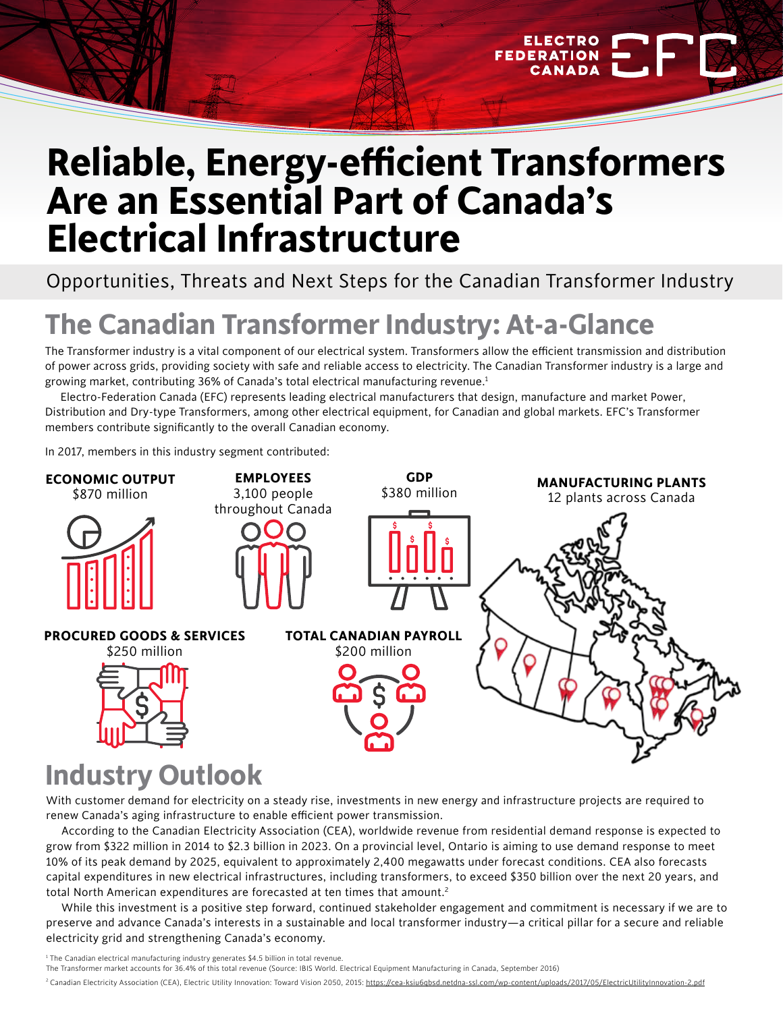# **Reliable, Energy-efficient Transformers Are an Essential Part of Canada's Electrical Infrastructure**

**FEDERA** 

Opportunities, Threats and Next Steps for the Canadian Transformer Industry

## **The Canadian Transformer Industry: At-a-Glance**

The Transformer industry is a vital component of our electrical system. Transformers allow the efficient transmission and distribution of power across grids, providing society with safe and reliable access to electricity. The Canadian Transformer industry is a large and growing market, contributing 36% of Canada's total electrical manufacturing revenue.1

Electro-Federation Canada (EFC) represents leading electrical manufacturers that design, manufacture and market Power, Distribution and Dry-type Transformers, among other electrical equipment, for Canadian and global markets. EFC's Transformer members contribute significantly to the overall Canadian economy.

In 2017, members in this industry segment contributed:



### **Industry Outlook**

With customer demand for electricity on a steady rise, investments in new energy and infrastructure projects are required to renew Canada's aging infrastructure to enable efficient power transmission.

According to the Canadian Electricity Association (CEA), worldwide revenue from residential demand response is expected to grow from \$322 million in 2014 to \$2.3 billion in 2023. On a provincial level, Ontario is aiming to use demand response to meet 10% of its peak demand by 2025, equivalent to approximately 2,400 megawatts under forecast conditions. CEA also forecasts capital expenditures in new electrical infrastructures, including transformers, to exceed \$350 billion over the next 20 years, and total North American expenditures are forecasted at ten times that amount.<sup>2</sup>

While this investment is a positive step forward, continued stakeholder engagement and commitment is necessary if we are to preserve and advance Canada's interests in a sustainable and local transformer industry—a critical pillar for a secure and reliable electricity grid and strengthening Canada's economy.

<sup>1</sup> The Canadian electrical manufacturing industry generates \$4.5 billion in total revenue.

The Transformer market accounts for 36.4% of this total revenue (Source: IBIS World. Electrical Equipment Manufacturing in Canada, September 2016)

<sup>2</sup> Canadian Electricity Association (CEA), Electric Utility Innovation: Toward Vision 2050, 2015: https://cea-ksiu6qbsd.netdna-ssl.com/wp-content/uploads/2017/05/ElectricUtilityInnovation-2.pdf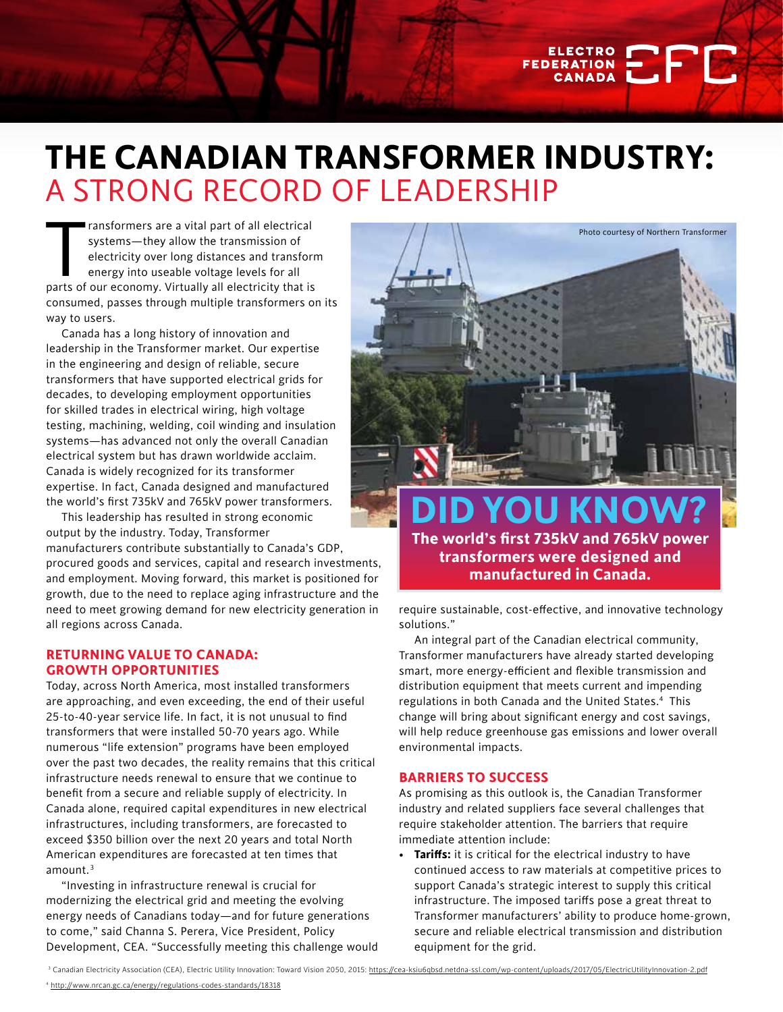### **THE CANADIAN TRANSFORMER INDUSTRY:**  A STRONG RECORD OF LEADERSHIP

ransformers are a vital part of all electrical<br>systems—they allow the transmission of<br>electricity over long distances and transform<br>energy into useable voltage levels for all<br>parts of our economy. Virtually all electricity ransformers are a vital part of all electrical systems—they allow the transmission of electricity over long distances and transform energy into useable voltage levels for all consumed, passes through multiple transformers on its way to users.

Canada has a long history of innovation and leadership in the Transformer market. Our expertise in the engineering and design of reliable, secure transformers that have supported electrical grids for decades, to developing employment opportunities for skilled trades in electrical wiring, high voltage testing, machining, welding, coil winding and insulation systems—has advanced not only the overall Canadian electrical system but has drawn worldwide acclaim. Canada is widely recognized for its transformer expertise. In fact, Canada designed and manufactured the world's first 735kV and 765kV power transformers.

This leadership has resulted in strong economic output by the industry. Today, Transformer

manufacturers contribute substantially to Canada's GDP, procured goods and services, capital and research investments, and employment. Moving forward, this market is positioned for growth, due to the need to replace aging infrastructure and the need to meet growing demand for new electricity generation in all regions across Canada.

#### **RETURNING VALUE TO CANADA: GROWTH OPPORTUNITIES**

Today, across North America, most installed transformers are approaching, and even exceeding, the end of their useful 25-to-40-year service life. In fact, it is not unusual to find transformers that were installed 50-70 years ago. While numerous "life extension" programs have been employed over the past two decades, the reality remains that this critical infrastructure needs renewal to ensure that we continue to benefit from a secure and reliable supply of electricity. In Canada alone, required capital expenditures in new electrical infrastructures, including transformers, are forecasted to exceed \$350 billion over the next 20 years and total North American expenditures are forecasted at ten times that  $amount.<sup>3</sup>$ 

"Investing in infrastructure renewal is crucial for modernizing the electrical grid and meeting the evolving energy needs of Canadians today—and for future generations to come," said Channa S. Perera, Vice President, Policy Development, CEA. "Successfully meeting this challenge would



FEDERATION **ELECTRO** 

**B** 

require sustainable, cost-effective, and innovative technology solutions."

An integral part of the Canadian electrical community, Transformer manufacturers have already started developing smart, more energy-efficient and flexible transmission and distribution equipment that meets current and impending regulations in both Canada and the United States.<sup>4</sup> This change will bring about significant energy and cost savings, will help reduce greenhouse gas emissions and lower overall environmental impacts.

#### **BARRIERS TO SUCCESS**

As promising as this outlook is, the Canadian Transformer industry and related suppliers face several challenges that require stakeholder attention. The barriers that require immediate attention include:

**• Tariffs:** it is critical for the electrical industry to have continued access to raw materials at competitive prices to support Canada's strategic interest to supply this critical infrastructure. The imposed tariffs pose a great threat to Transformer manufacturers' ability to produce home-grown, secure and reliable electrical transmission and distribution equipment for the grid.

<sup>3</sup> Canadian Electricity Association (CEA), Electric Utility Innovation: Toward Vision 2050, 2015: <u>https://cea-ksiu6qbsd.netdna-ssl.com/wp-content/uploads/2017/05/ElectricUtilityInnovation-2.pdf</u>